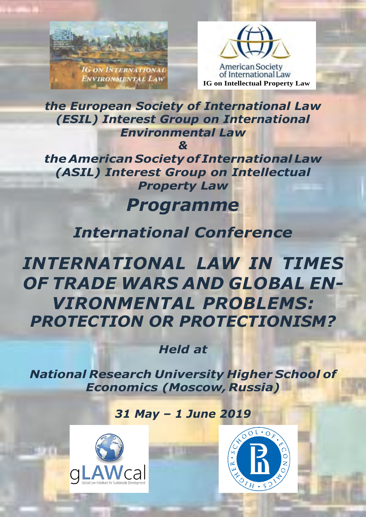



*the European Society of International Law (ESIL) Interest Group on International Environmental Law*

*&*

*the American Societyof International Law (ASIL) Interest Group on Intellectual Property Law*

# *Programme*

## *International Conference*

*INTERNATIONAL LAW IN TIMES OF TRADE WARS AND GLOBAL EN-VIRONMENTAL PROBLEMS: PROTECTION OR PROTECTIONISM?*

*Held at*

*National Research University Higher School of Economics (Moscow, Russia)*

## *31 May – 1 June 2019*





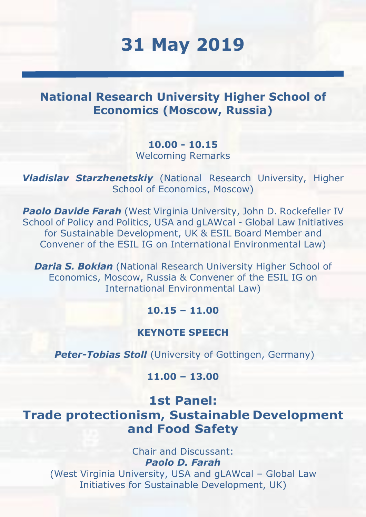# **31 May 2019**

## **National Research University Higher School of Economics (Moscow, Russia)**

**10.00 - 10.15** Welcoming Remarks

*Vladislav Starzhenetskiy* (National Research University, Higher School of Economics, Moscow)

*Paolo Davide Farah* (West Virginia University, John D. Rockefeller IV School of Policy and Politics, USA and gLAWcal - Global Law Initiatives for Sustainable Development, UK & ESIL Board Member and Convener of the ESIL IG on International Environmental Law)

*Daria S. Boklan* (National Research University Higher School of Economics, Moscow, Russia & Convener of the ESIL IG on International Environmental Law)

### **10.15 – 11.00**

#### **KEYNOTE SPEECH**

**Peter-Tobias Stoll** (University of Gottingen, Germany)

### **11.00 – 13.00**

**1st Panel: Trade protectionism, Sustainable Development and Food Safety**

> Chair and Discussant: *Paolo D. Farah*

(West Virginia University, USA and gLAWcal – Global Law Initiatives for Sustainable Development, UK)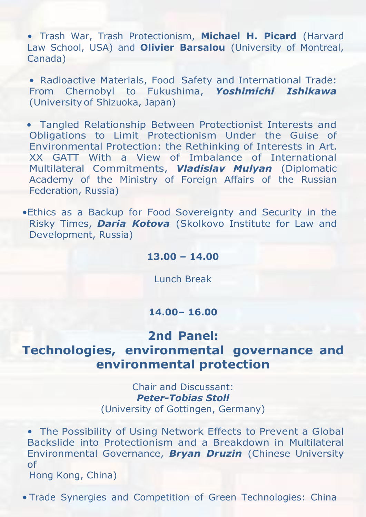• Trash War, Trash Protectionism, **Michael H. Picard** (Harvard Law School, USA) and **Olivier Barsalou** (University of Montreal, Canada)

• Radioactive Materials, Food Safety and International Trade: From Chernobyl to Fukushima, *Yoshimichi Ishikawa* (Universityof Shizuoka, Japan)

• Tangled Relationship Between Protectionist Interests and Obligations to Limit Protectionism Under the Guise of Environmental Protection: the Rethinking of Interests in Art. XX GATT With a View of Imbalance of International Multilateral Commitments, *Vladislav Mulyan* (Diplomatic Academy of the Ministry of Foreign Affairs of the Russian Federation, Russia)

•Ethics as a Backup for Food Sovereignty and Security in the Risky Times, *Daria Kotova* (Skolkovo Institute for Law and Development, Russia)

#### **13.00 – 14.00**

Lunch Break

#### **14.00– 16.00**

## **2nd Panel:**

## **Technologies, environmental governance and environmental protection**

Chair and Discussant: *Peter-Tobias Stoll* (University of Gottingen, Germany)

• The Possibility of Using Network Effects to Prevent a Global Backslide into Protectionism and a Breakdown in Multilateral Environmental Governance, *Bryan Druzin* (Chinese University of

Hong Kong, China)

• Trade Synergies and Competition of Green Technologies: China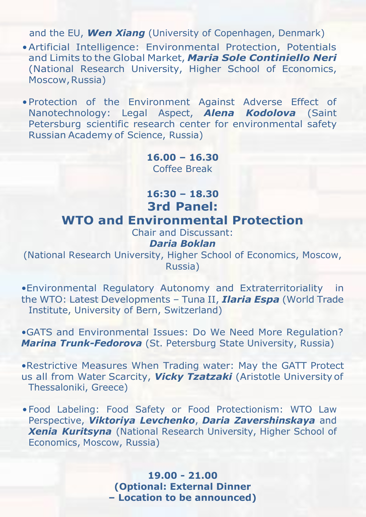and the EU, *Wen Xiang* (University of Copenhagen, Denmark)

- •Artificial Intelligence: Environmental Protection, Potentials and Limits to the Global Market, *Maria Sole Continiello Neri* (National Research University, Higher School of Economics, Moscow, Russia)
- •Protection of the Environment Against Adverse Effect of Nanotechnology: Legal Aspect, *Alena Kodolova* (Saint Petersburg scientific research center for environmental safety Russian Academy of Science, Russia)

**16.00 – 16.30** Coffee Break

**16:30 – 18.30 3rd Panel: WTO and Environmental Protection**

Chair and Discussant:

#### *Daria Boklan*

(National Research University, Higher School of Economics, Moscow, Russia)

•Environmental Regulatory Autonomy and Extraterritoriality in the WTO: Latest Developments – Tuna II, *Ilaria Espa* (World Trade Institute, University of Bern, Switzerland)

•GATS and Environmental Issues: Do We Need More Regulation? *Marina Trunk-Fedorova* (St. Petersburg State University, Russia)

•Restrictive Measures When Trading water: May the GATT Protect us all from Water Scarcity, *Vicky Tzatzaki* (Aristotle University of Thessaloniki, Greece)

•Food Labeling: Food Safety or Food Protectionism: WTO Law Perspective, *Viktoriya Levchenko*, *Daria Zavershinskaya* and *Xenia Kuritsyna* (National Research University, Higher School of Economics, Moscow, Russia)

> **19.00 - 21.00 (Optional: External Dinner – Location to be announced)**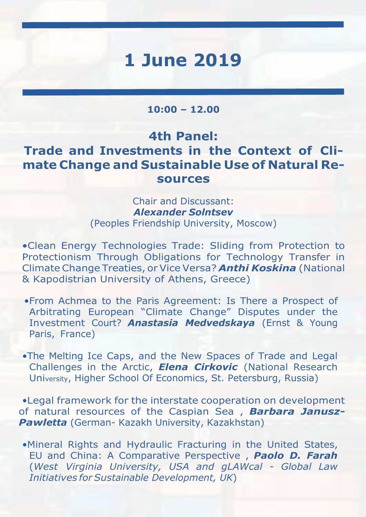# **1 June 2019**

#### **10:00 – 12.00**

## **4th Panel: Trade and Investments in the Context of Climate Change and Sustainable Use of Natural Resources**

### Chair and Discussant: *Alexander Solntsev* (Peoples Friendship University, Moscow)

•Clean Energy Technologies Trade: Sliding from Protection to Protectionism Through Obligations for Technology Transfer in ClimateChange Treaties, or Vice Versa? *Anthi Koskina* (National & Kapodistrian University of Athens, Greece)

- •From Achmea to the Paris Agreement: Is There a Prospect of Arbitrating European "Climate Change" Disputes under the Investment Court? *Anastasia Medvedskaya* (Ernst & Young Paris, France)
- •The Melting Ice Caps, and the New Spaces of Trade and Legal Challenges in the Arctic, *Elena Cirkovic* (National Research University, Higher School Of Economics, St. Petersburg, Russia)

•Legal framework for the interstate cooperation on development of natural resources of the Caspian Sea , *Barbara Janusz-Pawletta* (German- Kazakh University, Kazakhstan)

•Mineral Rights and Hydraulic Fracturing in the United States, EU and China: A Comparative Perspective , *Paolo D. Farah* (*West Virginia University, USA and gLAWcal - Global Law Initiatives forSustainable Development, UK*)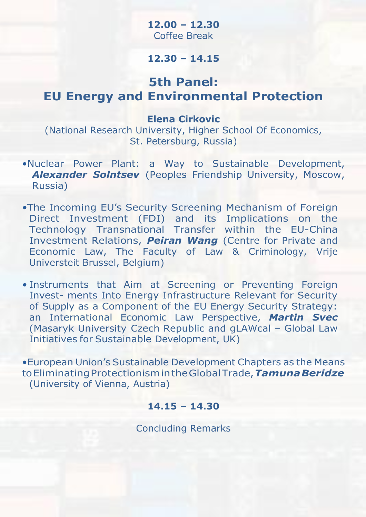### **12.00 – 12.30** Coffee Break

### **12.30 – 14.15**

## **5th Panel: EU Energy and Environmental Protection**

#### **Elena Cirkovic**

(National Research University, Higher School Of Economics, St. Petersburg, Russia)

- •Nuclear Power Plant: a Way to Sustainable Development, *Alexander Solntsev* (Peoples Friendship University, Moscow, Russia)
- •The Incoming EU's Security Screening Mechanism of Foreign Direct Investment (FDI) and its Implications on the Technology Transnational Transfer within the EU-China Investment Relations, *Peiran Wang* (Centre for Private and Economic Law, The Faculty of Law & Criminology, Vrije Universteit Brussel, Belgium)
- Instruments that Aim at Screening or Preventing Foreign Invest- ments Into Energy Infrastructure Relevant for Security of Supply as a Component of the EU Energy Security Strategy: an International Economic Law Perspective, *Martin Svec* (Masaryk University Czech Republic and gLAWcal – Global Law Initiatives for Sustainable Development, UK)

•European Union's Sustainable Development Chapters as the Means toEliminatingProtectionismintheGlobalTrade,*TamunaBeridze* (University of Vienna, Austria)

### **14.15 – 14.30**

Concluding Remarks